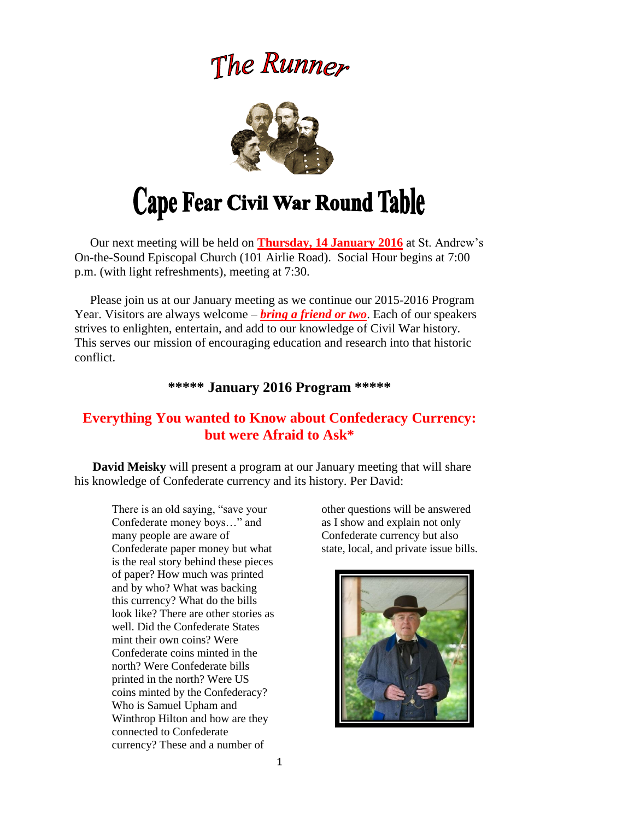## The Runner



# Cape Fear Civil War Round Table

 Our next meeting will be held on **Thursday, 14 January 2016** at St. Andrew's On-the-Sound Episcopal Church (101 Airlie Road). Social Hour begins at 7:00 p.m. (with light refreshments), meeting at 7:30.

 Please join us at our January meeting as we continue our 2015-2016 Program Year. Visitors are always welcome – *bring a friend or two*. Each of our speakers strives to enlighten, entertain, and add to our knowledge of Civil War history. This serves our mission of encouraging education and research into that historic conflict.

### **\*\*\*\*\* January 2016 Program \*\*\*\*\***

## **Everything You wanted to Know about Confederacy Currency: but were Afraid to Ask\***

**David Meisky** will present a program at our January meeting that will share his knowledge of Confederate currency and its history. Per David:

There is an old saying, "save your Confederate money boys…" and many people are aware of Confederate paper money but what is the real story behind these pieces of paper? How much was printed and by who? What was backing this currency? What do the bills look like? There are other stories as well. Did the Confederate States mint their own coins? Were Confederate coins minted in the north? Were Confederate bills printed in the north? Were US coins minted by the Confederacy? Who is Samuel Upham and Winthrop Hilton and how are they connected to Confederate currency? These and a number of

other questions will be answered as I show and explain not only Confederate currency but also state, local, and private issue bills.

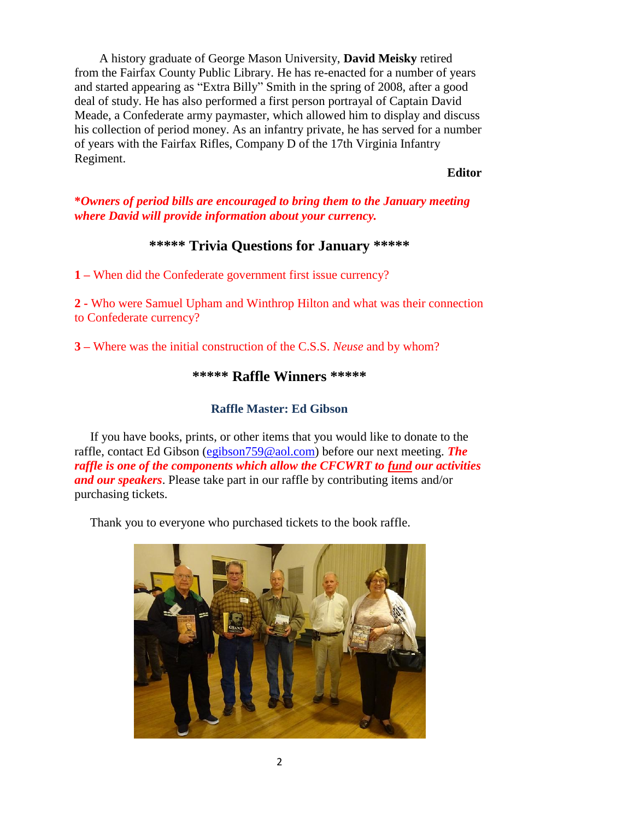A history graduate of George Mason University, **David Meisky** retired from the Fairfax County Public Library. He has re-enacted for a number of years and started appearing as "Extra Billy" Smith in the spring of 2008, after a good deal of study. He has also performed a first person portrayal of Captain David Meade, a Confederate army paymaster, which allowed him to display and discuss his collection of period money. As an infantry private, he has served for a number of years with the Fairfax Rifles, Company D of the 17th Virginia Infantry Regiment.

#### *Editor*

#### **\****Owners of period bills are encouraged to bring them to the January meeting where David will provide information about your currency.*

#### **\*\*\*\*\* Trivia Questions for January \*\*\*\*\***

**1 –** When did the Confederate government first issue currency?

**2 -** Who were Samuel Upham and Winthrop Hilton and what was their connection to Confederate currency?

**3 –** Where was the initial construction of the C.S.S. *Neuse* and by whom?

#### **\*\*\*\*\* Raffle Winners \*\*\*\*\***

#### **Raffle Master: Ed Gibson**

If you have books, prints, or other items that you would like to donate to the raffle, contact Ed Gibson [\(egibson759@aol.com\)](mailto:egibson759@aol.com) before our next meeting. *The raffle is one of the components which allow the CFCWRT to fund our activities and our speakers*. Please take part in our raffle by contributing items and/or purchasing tickets.

Thank you to everyone who purchased tickets to the book raffle.

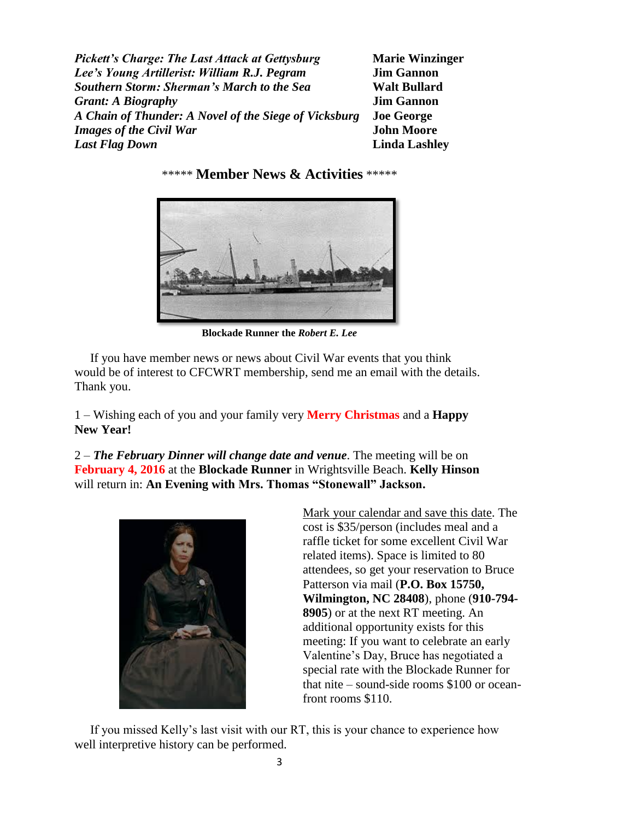*Pickett's Charge: The Last Attack at Gettysburg* **Marie Winzinger** *Lee's Young Artillerist: William R.J. Pegram* **Jim Gannon** *Southern Storm: Sherman's March to the Sea* **Walt Bullard** *Grant: A Biography* **Jim Gannon** *A Chain of Thunder: A Novel of the Siege of Vicksburg* **Joe George** *Images of the Civil War* **John Moore** *Last Flag Down* **Linda Lashley**

\*\*\*\*\* **Member News & Activities** \*\*\*\*\*

**Blockade Runner the** *Robert E. Lee*

 If you have member news or news about Civil War events that you think would be of interest to CFCWRT membership, send me an email with the details. Thank you.

1 – Wishing each of you and your family very **Merry Christmas** and a **Happy New Year!**

2 – *The February Dinner will change date and venue*. The meeting will be on **February 4, 2016** at the **Blockade Runner** in Wrightsville Beach. **Kelly Hinson** will return in: **An Evening with Mrs. Thomas "Stonewall" Jackson.**



Mark your calendar and save this date. The cost is \$35/person (includes meal and a raffle ticket for some excellent Civil War related items). Space is limited to 80 attendees, so get your reservation to Bruce Patterson via mail (**P.O. Box 15750, Wilmington, NC 28408**), phone (**910-794- 8905**) or at the next RT meeting. An additional opportunity exists for this meeting: If you want to celebrate an early Valentine's Day, Bruce has negotiated a special rate with the Blockade Runner for that nite – sound-side rooms \$100 or oceanfront rooms \$110.

 If you missed Kelly's last visit with our RT, this is your chance to experience how well interpretive history can be performed.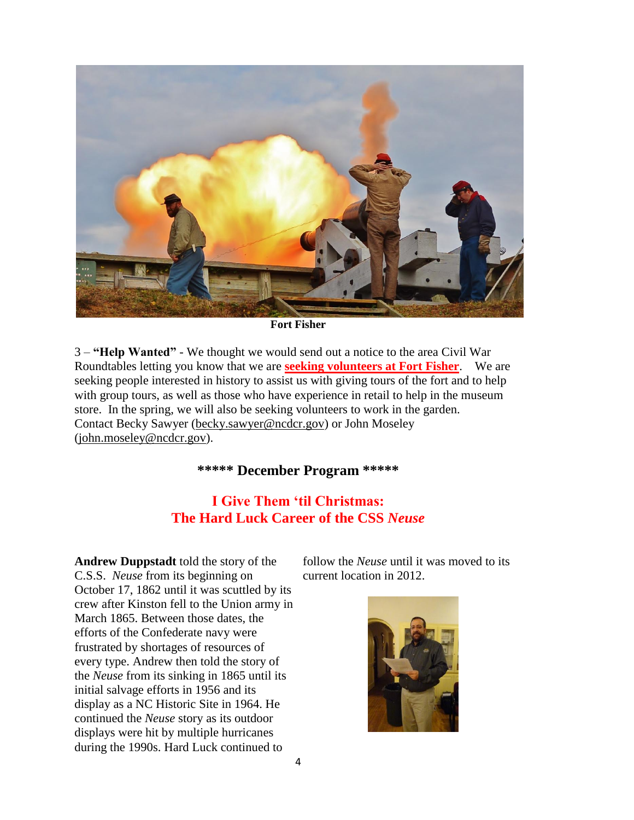

**Fort Fisher** 

3 – **"Help Wanted"** - We thought we would send out a notice to the area Civil War Roundtables letting you know that we are **seeking volunteers at Fort Fisher**. We are seeking people interested in history to assist us with giving tours of the fort and to help with group tours, as well as those who have experience in retail to help in the museum store. In the spring, we will also be seeking volunteers to work in the garden. Contact Becky Sawyer [\(becky.sawyer@ncdcr.gov\)](mailto:becky.sawyer@ncdcr.gov) or John Moseley [\(john.moseley@ncdcr.gov\)](mailto:john.moseley@ncdcr.gov).

## **\*\*\*\*\* December Program \*\*\*\*\***

## **I Give Them 'til Christmas: The Hard Luck Career of the CSS** *Neuse*

**Andrew Duppstadt** told the story of the C.S.S. *Neuse* from its beginning on October 17, 1862 until it was scuttled by its crew after Kinston fell to the Union army in March 1865. Between those dates, the efforts of the Confederate navy were frustrated by shortages of resources of every type. Andrew then told the story of the *Neuse* from its sinking in 1865 until its initial salvage efforts in 1956 and its display as a NC Historic Site in 1964. He continued the *Neuse* story as its outdoor displays were hit by multiple hurricanes during the 1990s. Hard Luck continued to

follow the *Neuse* until it was moved to its current location in 2012.

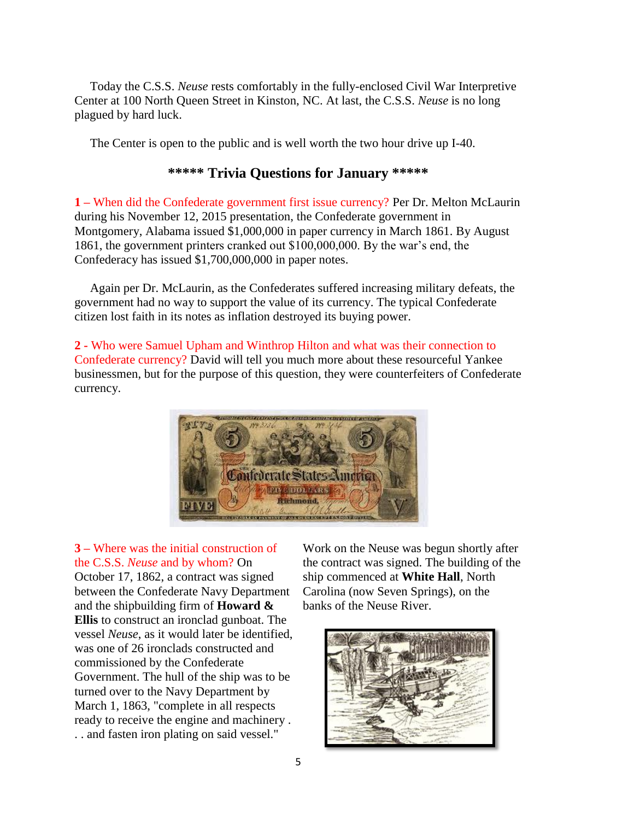Today the C.S.S. *Neuse* rests comfortably in the fully-enclosed Civil War Interpretive Center at 100 North Queen Street in Kinston, NC. At last, the C.S.S. *Neuse* is no long plagued by hard luck.

The Center is open to the public and is well worth the two hour drive up I-40.

## **\*\*\*\*\* Trivia Questions for January \*\*\*\*\***

**1 –** When did the Confederate government first issue currency? Per Dr. Melton McLaurin during his November 12, 2015 presentation, the Confederate government in Montgomery, Alabama issued \$1,000,000 in paper currency in March 1861. By August 1861, the government printers cranked out \$100,000,000. By the war's end, the Confederacy has issued \$1,700,000,000 in paper notes.

 Again per Dr. McLaurin, as the Confederates suffered increasing military defeats, the government had no way to support the value of its currency. The typical Confederate citizen lost faith in its notes as inflation destroyed its buying power.

**2 -** Who were Samuel Upham and Winthrop Hilton and what was their connection to Confederate currency? David will tell you much more about these resourceful Yankee businessmen, but for the purpose of this question, they were counterfeiters of Confederate currency.



**3 –** Where was the initial construction of the C.S.S. *Neuse* and by whom? On October 17, 1862, a contract was signed between the Confederate Navy Department and the shipbuilding firm of **Howard & Ellis** to construct an ironclad gunboat. The vessel *Neuse*, as it would later be identified, was one of 26 ironclads constructed and commissioned by the Confederate Government. The hull of the ship was to be turned over to the Navy Department by March 1, 1863, "complete in all respects ready to receive the engine and machinery . . . and fasten iron plating on said vessel."

Work on the Neuse was begun shortly after the contract was signed. The building of the ship commenced at **White Hall**, North Carolina (now Seven Springs), on the banks of the Neuse River.